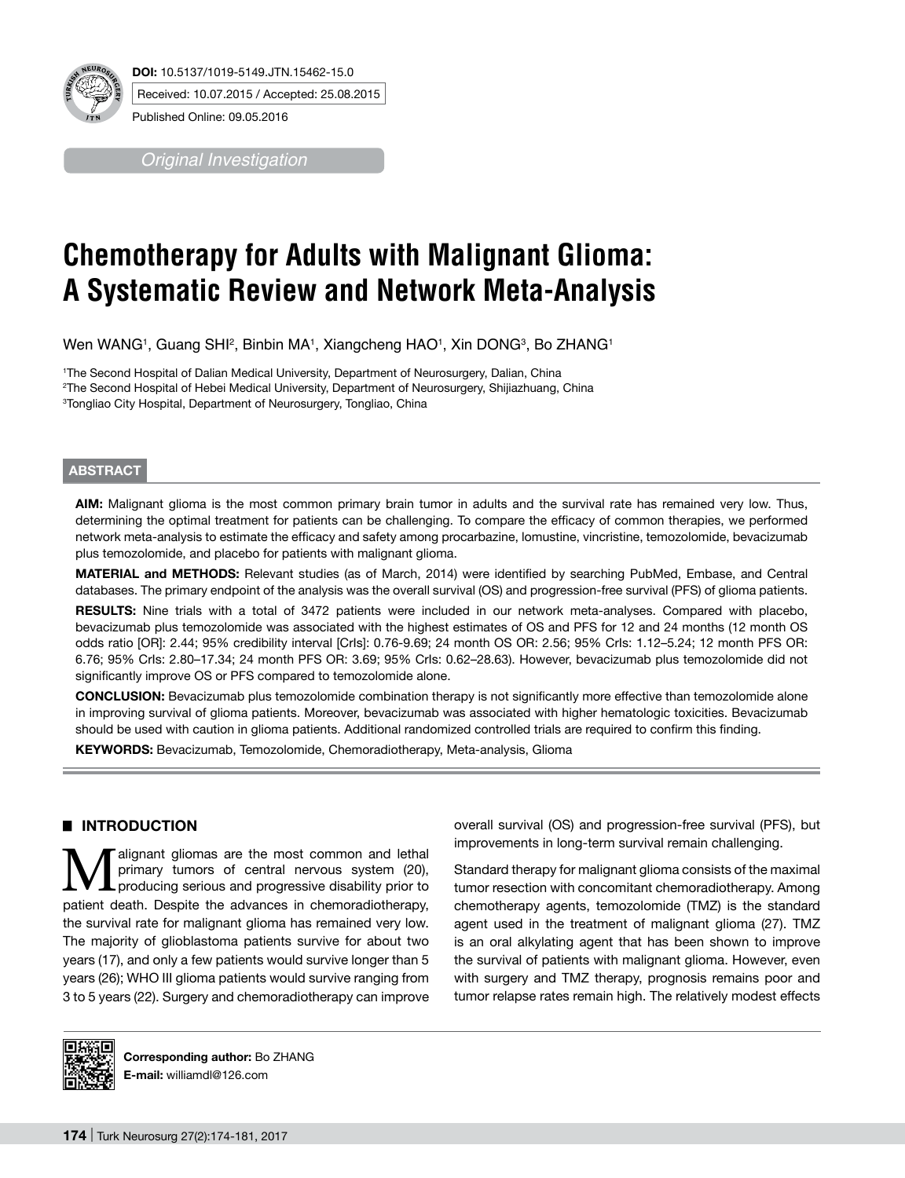

*Original Investigation*

# **Chemotherapy for Adults with Malignant Glioma: A Systematic Review and Network Meta-Analysis**

Wen WANG<sup>1</sup>, Guang SHI<sup>2</sup>, Binbin MA<sup>1</sup>, Xiangcheng HAO<sup>1</sup>, Xin DONG<sup>3</sup>, Bo ZHANG1

1 The Second Hospital of Dalian Medical University, Department of Neurosurgery, Dalian, China 2 The Second Hospital of Hebei Medical University, Department of Neurosurgery, Shijiazhuang, China 3 Tongliao City Hospital, Department of Neurosurgery, Tongliao, China

# **ABSTRACT**

**AIm:** Malignant glioma is the most common primary brain tumor in adults and the survival rate has remained very low. Thus, determining the optimal treatment for patients can be challenging. To compare the efficacy of common therapies, we performed network meta-analysis to estimate the efficacy and safety among procarbazine, lomustine, vincristine, temozolomide, bevacizumab plus temozolomide, and placebo for patients with malignant glioma.

**MaterIal and Methods:** Relevant studies (as of March, 2014) were identified by searching PubMed, Embase, and Central databases. The primary endpoint of the analysis was the overall survival (OS) and progression-free survival (PFS) of glioma patients.

RESULTS: Nine trials with a total of 3472 patients were included in our network meta-analyses. Compared with placebo, bevacizumab plus temozolomide was associated with the highest estimates of OS and PFS for 12 and 24 months (12 month OS odds ratio [OR]: 2.44; 95% credibility interval [CrIs]: 0.76-9.69; 24 month OS OR: 2.56; 95% CrIs: 1.12–5.24; 12 month PFS OR: 6.76; 95% CrIs: 2.80–17.34; 24 month PFS OR: 3.69; 95% CrIs: 0.62–28.63). However, bevacizumab plus temozolomide did not significantly improve OS or PFS compared to temozolomide alone.

**ConclusIon:** Bevacizumab plus temozolomide combination therapy is not significantly more effective than temozolomide alone in improving survival of glioma patients. Moreover, bevacizumab was associated with higher hematologic toxicities. Bevacizumab should be used with caution in glioma patients. Additional randomized controlled trials are required to confirm this finding.

**Keywords:** Bevacizumab, Temozolomide, Chemoradiotherapy, Meta-analysis, Glioma

# █ **INTRODUCTION**

**Malignant gliomas are the most common and lethal primary tumors of central nervous system (20),**<br>producing serious and progressive disability prior to primary tumors of central nervous system (20), patient death. Despite the advances in chemoradiotherapy, the survival rate for malignant glioma has remained very low. The majority of glioblastoma patients survive for about two years (17), and only a few patients would survive longer than 5 years (26); WHO III glioma patients would survive ranging from 3 to 5 years (22). Surgery and chemoradiotherapy can improve

overall survival (OS) and progression-free survival (PFS), but improvements in long-term survival remain challenging.

Standard therapy for malignant glioma consists of the maximal tumor resection with concomitant chemoradiotherapy. Among chemotherapy agents, temozolomide (TMZ) is the standard agent used in the treatment of malignant glioma (27). TMZ is an oral alkylating agent that has been shown to improve the survival of patients with malignant glioma. However, even with surgery and TMZ therapy, prognosis remains poor and tumor relapse rates remain high. The relatively modest effects



**Corresponding author:** Bo ZHANG **E-mail:** williamdl@126.com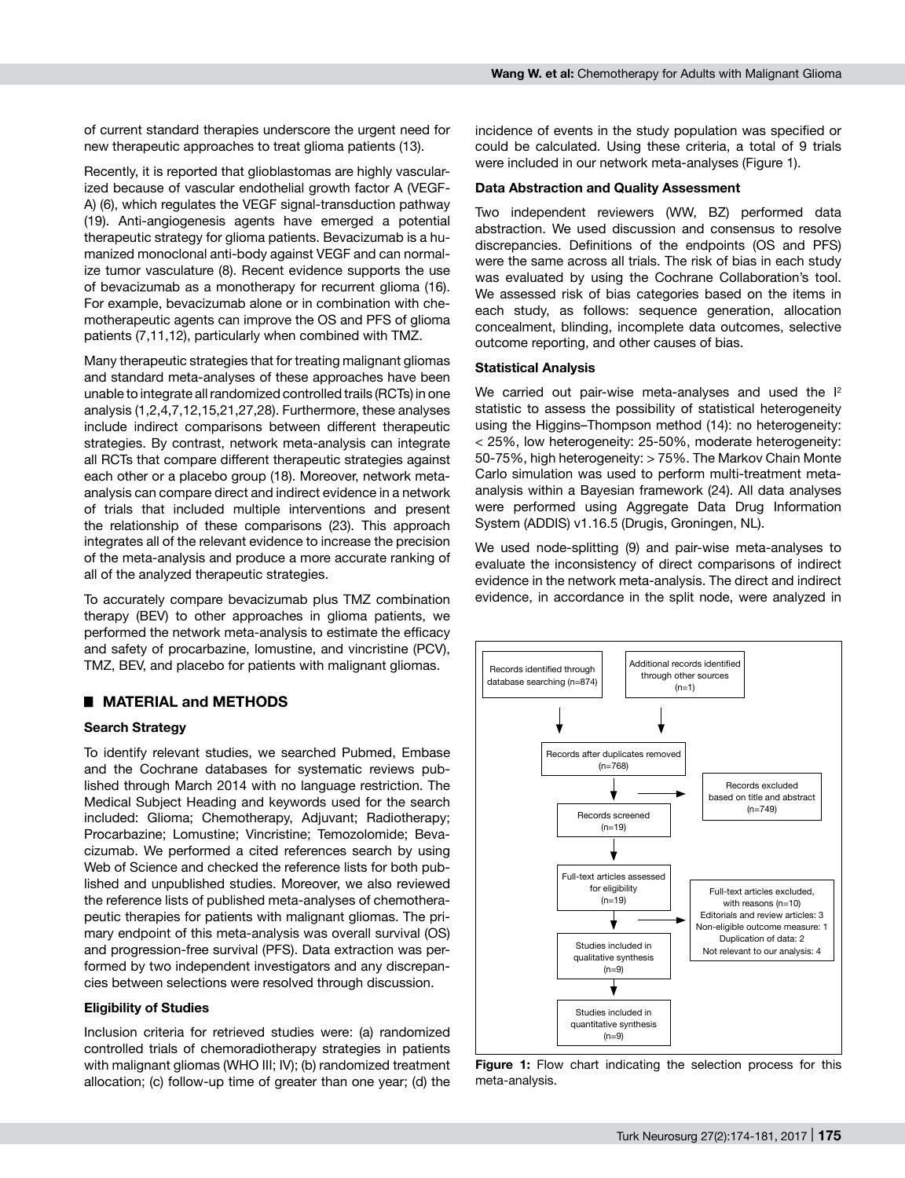of current standard therapies underscore the urgent need for new therapeutic approaches to treat glioma patients (13).

Recently, it is reported that glioblastomas are highly vascularized because of vascular endothelial growth factor A (VEGF-A) (6), which regulates the VEGF signal-transduction pathway (19). Anti-angiogenesis agents have emerged a potential therapeutic strategy for glioma patients. Bevacizumab is a humanized monoclonal anti-body against VEGF and can normalize tumor vasculature (8). Recent evidence supports the use of bevacizumab as a monotherapy for recurrent glioma (16). For example, bevacizumab alone or in combination with chemotherapeutic agents can improve the OS and PFS of glioma patients (7,11,12), particularly when combined with TMZ.

Many therapeutic strategies that for treating malignant gliomas and standard meta-analyses of these approaches have been unable to integrate all randomized controlled trails (RCTs) in one analysis (1,2,4,7,12,15,21,27,28). Furthermore, these analyses include indirect comparisons between different therapeutic strategies. By contrast, network meta-analysis can integrate all RCTs that compare different therapeutic strategies against each other or a placebo group (18). Moreover, network metaanalysis can compare direct and indirect evidence in a network of trials that included multiple interventions and present the relationship of these comparisons (23). This approach integrates all of the relevant evidence to increase the precision of the meta-analysis and produce a more accurate ranking of all of the analyzed therapeutic strategies.

To accurately compare bevacizumab plus TMZ combination therapy (BEV) to other approaches in glioma patients, we performed the network meta-analysis to estimate the efficacy and safety of procarbazine, lomustine, and vincristine (PCV), TMZ, BEV, and placebo for patients with malignant gliomas.

# █ **MATERIAL and METHODS**

## **Search Strategy**

To identify relevant studies, we searched Pubmed, Embase and the Cochrane databases for systematic reviews published through March 2014 with no language restriction. The Medical Subject Heading and keywords used for the search included: Glioma; Chemotherapy, Adjuvant; Radiotherapy; Procarbazine; Lomustine; Vincristine; Temozolomide; Bevacizumab. We performed a cited references search by using Web of Science and checked the reference lists for both published and unpublished studies. Moreover, we also reviewed the reference lists of published meta-analyses of chemotherapeutic therapies for patients with malignant gliomas. The primary endpoint of this meta-analysis was overall survival (OS) and progression-free survival (PFS). Data extraction was performed by two independent investigators and any discrepancies between selections were resolved through discussion.

#### **Eligibility of Studies**

Inclusion criteria for retrieved studies were: (a) randomized controlled trials of chemoradiotherapy strategies in patients with malignant gliomas (WHO III; IV); (b) randomized treatment allocation; (c) follow-up time of greater than one year; (d) the

incidence of events in the study population was specified or could be calculated. Using these criteria, a total of 9 trials were included in our network meta-analyses (Figure 1).

#### **Data Abstraction and Quality Assessment**

Two independent reviewers (WW, BZ) performed data abstraction. We used discussion and consensus to resolve discrepancies. Definitions of the endpoints (OS and PFS) were the same across all trials. The risk of bias in each study was evaluated by using the Cochrane Collaboration's tool. We assessed risk of bias categories based on the items in each study, as follows: sequence generation, allocation concealment, blinding, incomplete data outcomes, selective outcome reporting, and other causes of bias.

#### **Statistical Analysis**

We carried out pair-wise meta-analyses and used the  $I^2$ statistic to assess the possibility of statistical heterogeneity using the Higgins–Thompson method (14): no heterogeneity: < 25%, low heterogeneity: 25-50%, moderate heterogeneity: 50-75%, high heterogeneity: > 75%. The Markov Chain Monte Carlo simulation was used to perform multi-treatment metaanalysis within a Bayesian framework (24). All data analyses were performed using Aggregate Data Drug Information System (ADDIS) v1.16.5 (Drugis, Groningen, NL).

We used node-splitting (9) and pair-wise meta-analyses to evaluate the inconsistency of direct comparisons of indirect evidence in the network meta-analysis. The direct and indirect evidence, in accordance in the split node, were analyzed in



**Figure 1:** Flow chart indicating the selection process for this meta-analysis.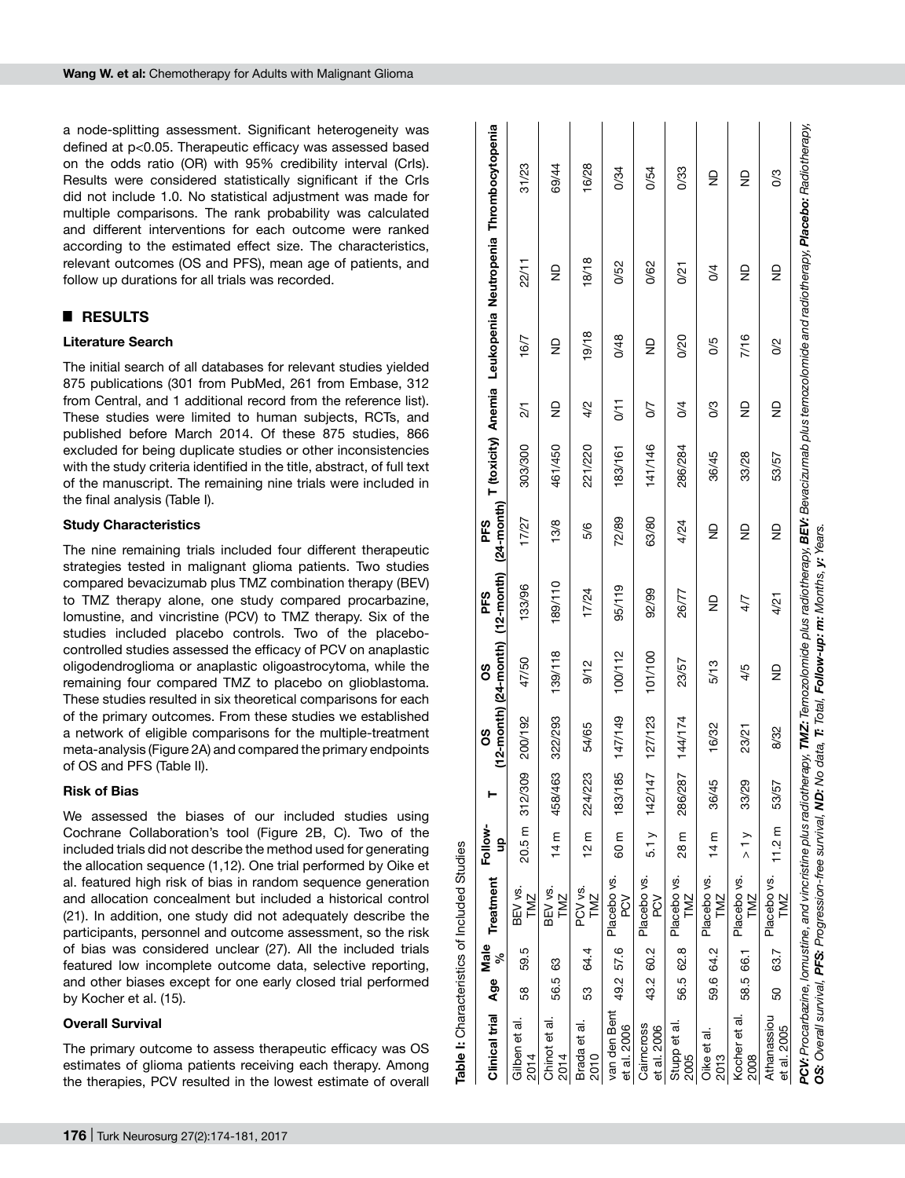a node-splitting assessment. Significant heterogeneity was defined at p<0.05. Therapeutic efficacy was assessed based on the odds ratio (OR) with 95% credibility interval (CrIs). Results were considered statistically significant if the CrIs did not include 1.0. No statistical adjustment was made for multiple comparisons. The rank probability was calculated and different interventions for each outcome were ranked according to the estimated effect size. The characteristics, relevant outcomes (OS and PFS), mean age of patients, and follow up durations for all trials was recorded.

# █ **RESULTS**

## **Literature Search**

The initial search of all databases for relevant studies yielded 875 publications (301 from PubMed, 261 from Embase, 312 from Central, and 1 additional record from the reference list). These studies were limited to human subjects, RCTs, and published before March 2014. Of these 875 studies, 866 excluded for being duplicate studies or other inconsistencies with the study criteria identified in the title, abstract, of full text of the manuscript. The remaining nine trials were included in the final analysis (Table I).

#### **Study Characteristics**

The nine remaining trials included four different therapeutic strategies tested in malignant glioma patients. Two studies compared bevacizumab plus TMZ combination therapy (BEV) to TMZ therapy alone, one study compared procarbazine, lomustine, and vincristine (PCV) to TMZ therapy. Six of the studies included placebo controls. Two of the placebocontrolled studies assessed the efficacy of PCV on anaplastic oligodendroglioma or anaplastic oligoastrocytoma, while the remaining four compared TMZ to placebo on glioblastoma. These studies resulted in six theoretical comparisons for each of the primary outcomes. From these studies we established a network of eligible comparisons for the multiple-treatment meta-analysis (Figure 2A) and compared the primary endpoints of OS and PFS (Table II).

## **Risk of Bias**

We assessed the biases of our included studies using Cochrane Collaboration's tool (Figure 2B, C). Two of the included trials did not describe the method used for generating the allocation sequence (1,12). One trial performed by Oike et al. featured high risk of bias in random sequence generation and allocation concealment but included a historical control (21). In addition, one study did not adequately describe the participants, personnel and outcome assessment, so the risk of bias was considered unclear (27). All the included trials featured low incomplete outcome data, selective reporting, and other biases except for one early closed trial performed by Kocher et al. (15).

**Table I:** Characteristics of Included Studies

Table I: Characteristics of Included Studies

## **Overall Survival**

The primary outcome to assess therapeutic efficacy was OS estimates of glioma patients receiving each therapy. Among the therapies, PCV resulted in the lowest estimate of overall

| Clinical trial Age Male Treatment Follow-                                                                    |           |      |                                         |          |                | ပိ      | 8O      | PFS                                                                           | PFS   |         |                         |       |                                 | (24-month) T (toxicity) Anemia Leukopenia Neutropenia Thrombocytopenia                                                                                                                           |
|--------------------------------------------------------------------------------------------------------------|-----------|------|-----------------------------------------|----------|----------------|---------|---------|-------------------------------------------------------------------------------|-------|---------|-------------------------|-------|---------------------------------|--------------------------------------------------------------------------------------------------------------------------------------------------------------------------------------------------|
|                                                                                                              |           | ಸಿ   |                                         | g        |                |         |         | $(12 \cdot \text{month})$ $(24 \cdot \text{month})$ $(12 \cdot \text{month})$ |       |         |                         |       |                                 |                                                                                                                                                                                                  |
| Gilben et al.<br>2014                                                                                        | 58        | 59.5 | BEV vs.<br>TMZ                          |          | 20.5 m 312/309 | 200/192 | 47/50   | 133/96                                                                        | 17/27 | 303/300 | 21                      | 16/7  | 22/11                           | 31/23                                                                                                                                                                                            |
| Chinot et al<br>2014                                                                                         | 56.5 63   |      | BEV vs.<br>TMZ                          | 14 m     | 458/463        | 322/293 | 139/118 | 189/110                                                                       | 13/8  | 461/450 | ₽                       | g     | $\frac{\mathsf{D}}{\mathsf{D}}$ | 69/44                                                                                                                                                                                            |
| Brada et al.<br>2010                                                                                         | 53        | 64.4 | PCV vs.<br>TMZ                          | 12 m     | 224/223        | 54/65   | 9/12    | 17/24                                                                         | 5/6   | 221/220 | 4/2                     | 19/18 | 18/18                           | 16/28                                                                                                                                                                                            |
| van den Bent<br>et al. 2006                                                                                  | 49.2 57.6 |      | Placebo vs.<br>NC<br>P                  |          | 60 m 183/185   | 147/149 | 100/112 | 95/119                                                                        | 72/89 | 183/161 | 0/11                    | 0/48  | 0/52                            | 0/34                                                                                                                                                                                             |
| Cairncross<br>et al. 2006                                                                                    | 43.2 60.2 |      | Placebo vs.<br>NO<br>A                  |          | 5.1 y 142/147  | 127/123 | 101/100 | 92/99                                                                         | 63/80 | 141/146 | 50                      | g     | 0/62                            | 0/54                                                                                                                                                                                             |
| Stupp et al.<br>2005                                                                                         | 56.5 62.8 |      | Placebo vs.<br>TMZ                      | 28 m     | 286/287        | 144/174 | 23/57   | 26/77                                                                         | 4/24  | 286/284 | $\frac{4}{3}$           | 0/20  | 0/21                            | 0/33                                                                                                                                                                                             |
| Oike et al.<br>2013                                                                                          | 59.6 64.2 |      | Placebo vs.<br>TMZ                      | 14 m     | 36/45          | 16/32   | 5/13    | g                                                                             | g     | 36/45   | S3                      | 80    | $\frac{4}{3}$                   | $\frac{\Omega}{\Sigma}$                                                                                                                                                                          |
| Kocher et al.<br>2008                                                                                        | 58.5 66.1 |      | Placebo vs.<br>TMZ                      | $\geq 1$ | 33/29          | 23/21   | 4/5     | 4/7                                                                           | ₽     | 33/28   | $\frac{\Omega}{\Sigma}$ | 7/16  | ę                               | g                                                                                                                                                                                                |
| Athanassiou<br>et al. 2005                                                                                   |           |      | 50 63.7 Placebo vs. 11.2 m 53/57<br>TMZ |          |                | 8/32    | g       | 4/21                                                                          | g     | 53/57   | $\overline{z}$          | S     | g                               | S3                                                                                                                                                                                               |
| OS: Overall survival, PFS: Progression-free survival, ND: No data, T: Total, Follow-up: m: Months, y: Years. |           |      |                                         |          |                |         |         |                                                                               |       |         |                         |       |                                 | PCV: Procarbazine, lomustine, and vincristine plus radiotherapy, <b>TMZ:</b> Temozolomide plus radiotherapy, BEV: Bevacizumab plus temozolomide and radiotherapy, Pl <b>acebo:</b> Radiotherapy, |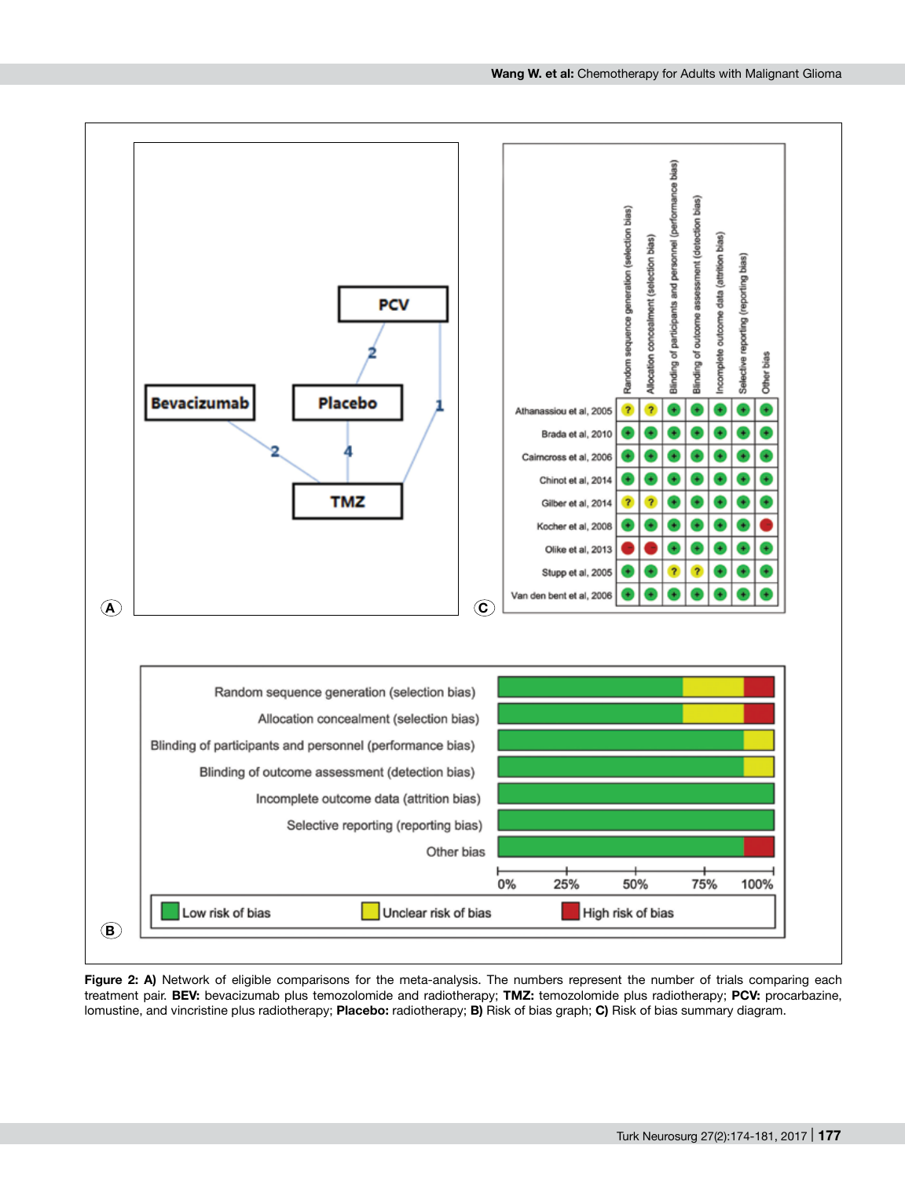

Figure 2: A) Network of eligible comparisons for the meta-analysis. The numbers represent the number of trials comparing each treatment pair. **BEV:** bevacizumab plus temozolomide and radiotherapy; **TMZ:** temozolomide plus radiotherapy; **PCV:** procarbazine, lomustine, and vincristine plus radiotherapy; **Placebo:** radiotherapy; **B)** Risk of bias graph; **C)** Risk of bias summary diagram.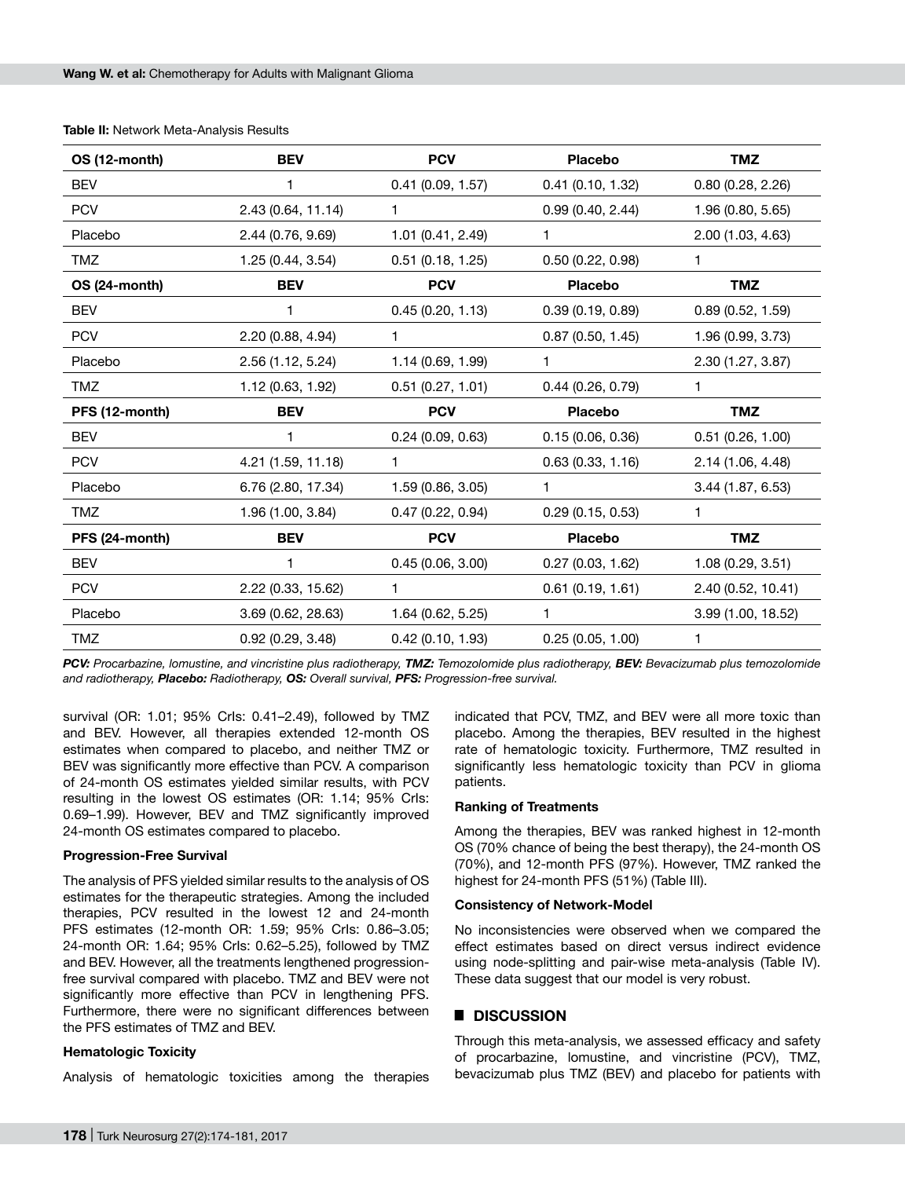| OS (12-month)  | <b>BEV</b>         | <b>PCV</b>        | <b>Placebo</b>   | <b>TMZ</b>         |
|----------------|--------------------|-------------------|------------------|--------------------|
| <b>BEV</b>     | 1                  | 0.41(0.09, 1.57)  | 0.41(0.10, 1.32) | 0.80(0.28, 2.26)   |
| <b>PCV</b>     | 2.43 (0.64, 11.14) | 1.                | 0.99(0.40, 2.44) | 1.96 (0.80, 5.65)  |
| Placebo        | 2.44 (0.76, 9.69)  | 1.01 (0.41, 2.49) | 1                | 2.00 (1.03, 4.63)  |
| <b>TMZ</b>     | 1.25 (0.44, 3.54)  | 0.51(0.18, 1.25)  | 0.50(0.22, 0.98) | 1                  |
| OS (24-month)  | <b>BEV</b>         | <b>PCV</b>        | Placebo          | <b>TMZ</b>         |
| <b>BEV</b>     | 1                  | 0.45(0.20, 1.13)  | 0.39(0.19, 0.89) | 0.89(0.52, 1.59)   |
| <b>PCV</b>     | 2.20 (0.88, 4.94)  | 1                 | 0.87(0.50, 1.45) | 1.96 (0.99, 3.73)  |
| Placebo        | 2.56 (1.12, 5.24)  | 1.14 (0.69, 1.99) | 1                | 2.30 (1.27, 3.87)  |
| <b>TMZ</b>     | 1.12 (0.63, 1.92)  | 0.51(0.27, 1.01)  | 0.44(0.26, 0.79) | 1                  |
| PFS (12-month) | <b>BEV</b>         | <b>PCV</b>        | <b>Placebo</b>   | <b>TMZ</b>         |
| <b>BEV</b>     | 1                  | 0.24(0.09, 0.63)  | 0.15(0.06, 0.36) | 0.51(0.26, 1.00)   |
| <b>PCV</b>     | 4.21 (1.59, 11.18) | 1                 | 0.63(0.33, 1.16) | 2.14 (1.06, 4.48)  |
| Placebo        | 6.76 (2.80, 17.34) | 1.59(0.86, 3.05)  | 1                | 3.44 (1.87, 6.53)  |
| TMZ            | 1.96 (1.00, 3.84)  | 0.47(0.22, 0.94)  | 0.29(0.15, 0.53) | 1                  |
| PFS (24-month) | <b>BEV</b>         | <b>PCV</b>        | <b>Placebo</b>   | <b>TMZ</b>         |
| <b>BEV</b>     | 1                  | 0.45(0.06, 3.00)  | 0.27(0.03, 1.62) | 1.08(0.29, 3.51)   |
| <b>PCV</b>     | 2.22 (0.33, 15.62) | 1                 | 0.61(0.19, 1.61) | 2.40 (0.52, 10.41) |
| Placebo        | 3.69 (0.62, 28.63) | 1.64 (0.62, 5.25) | 1                | 3.99 (1.00, 18.52) |
| TMZ            | 0.92(0.29, 3.48)   | 0.42(0.10, 1.93)  | 0.25(0.05, 1.00) | 1                  |

**Table II:** Network Meta-Analysis Results

*PCV: Procarbazine, lomustine, and vincristine plus radiotherapy, TMZ: Temozolomide plus radiotherapy, BEV: Bevacizumab plus temozolomide and radiotherapy, Placebo: Radiotherapy, OS: Overall survival, PFS: Progression-free survival.* 

survival (OR: 1.01; 95% CrIs: 0.41–2.49), followed by TMZ and BEV. However, all therapies extended 12-month OS estimates when compared to placebo, and neither TMZ or BEV was significantly more effective than PCV. A comparison of 24-month OS estimates yielded similar results, with PCV resulting in the lowest OS estimates (OR: 1.14; 95% CrIs: 0.69–1.99). However, BEV and TMZ significantly improved 24-month OS estimates compared to placebo.

#### **Progression-Free Survival**

The analysis of PFS yielded similar results to the analysis of OS estimates for the therapeutic strategies. Among the included therapies, PCV resulted in the lowest 12 and 24-month PFS estimates (12-month OR: 1.59; 95% CrIs: 0.86–3.05; 24-month OR: 1.64; 95% CrIs: 0.62–5.25), followed by TMZ and BEV. However, all the treatments lengthened progressionfree survival compared with placebo. TMZ and BEV were not significantly more effective than PCV in lengthening PFS. Furthermore, there were no significant differences between the PFS estimates of TMZ and BEV.

## **Hematologic Toxicity**

Analysis of hematologic toxicities among the therapies

indicated that PCV, TMZ, and BEV were all more toxic than placebo. Among the therapies, BEV resulted in the highest rate of hematologic toxicity. Furthermore, TMZ resulted in significantly less hematologic toxicity than PCV in glioma patients.

#### **Ranking of Treatments**

Among the therapies, BEV was ranked highest in 12-month OS (70% chance of being the best therapy), the 24-month OS (70%), and 12-month PFS (97%). However, TMZ ranked the highest for 24-month PFS (51%) (Table III).

#### **Consistency of Network-Model**

No inconsistencies were observed when we compared the effect estimates based on direct versus indirect evidence using node-splitting and pair-wise meta-analysis (Table IV). These data suggest that our model is very robust.

## █ **DISCUSSION**

Through this meta-analysis, we assessed efficacy and safety of procarbazine, lomustine, and vincristine (PCV), TMZ, bevacizumab plus TMZ (BEV) and placebo for patients with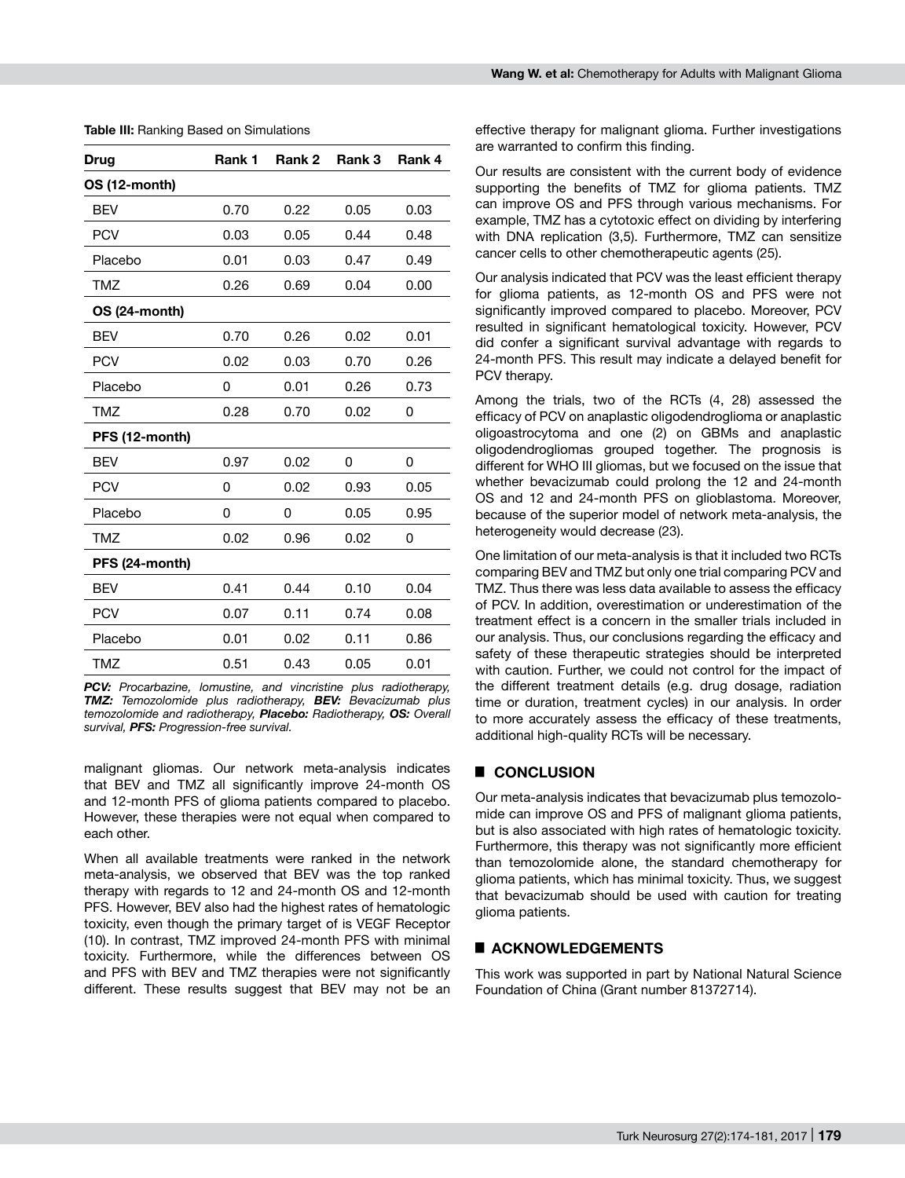| Drug           | Rank 1 | Rank 2 | Rank 3 | Rank 4 |
|----------------|--------|--------|--------|--------|
| OS (12-month)  |        |        |        |        |
| <b>BEV</b>     | 0.70   | 0.22   | 0.05   | 0.03   |
| <b>PCV</b>     | 0.03   | 0.05   | 0.44   | 0.48   |
| Placebo        | 0.01   | 0.03   | 0.47   | 0.49   |
| <b>TMZ</b>     | 0.26   | 0.69   | 0.04   | 0.00   |
| OS (24-month)  |        |        |        |        |
| <b>BEV</b>     | 0.70   | 0.26   | 0.02   | 0.01   |
| <b>PCV</b>     | 0.02   | 0.03   | 0.70   | 0.26   |
| Placebo        | 0      | 0.01   | 0.26   | 0.73   |
| <b>TMZ</b>     | 0.28   | 0.70   | 0.02   | 0      |
| PFS (12-month) |        |        |        |        |
| <b>BEV</b>     | 0.97   | 0.02   | 0      | 0      |
| <b>PCV</b>     | 0      | 0.02   | 0.93   | 0.05   |
| Placebo        | 0      | 0      | 0.05   | 0.95   |
| <b>TMZ</b>     | 0.02   | 0.96   | 0.02   | 0      |
| PFS (24-month) |        |        |        |        |
| <b>BEV</b>     | 0.41   | 0.44   | 0.10   | 0.04   |
| <b>PCV</b>     | 0.07   | 0.11   | 0.74   | 0.08   |
| Placebo        | 0.01   | 0.02   | 0.11   | 0.86   |
| TMZ            | 0.51   | 0.43   | 0.05   | 0.01   |

**Table III:** Ranking Based on Simulations

*PCV: Procarbazine, lomustine, and vincristine plus radiotherapy, TMZ: Temozolomide plus radiotherapy, BEV: Bevacizumab plus temozolomide and radiotherapy, Placebo: Radiotherapy, OS: Overall survival, PFS: Progression-free survival.*

malignant gliomas. Our network meta-analysis indicates that BEV and TMZ all significantly improve 24-month OS and 12-month PFS of glioma patients compared to placebo. However, these therapies were not equal when compared to each other.

When all available treatments were ranked in the network meta-analysis, we observed that BEV was the top ranked therapy with regards to 12 and 24-month OS and 12-month PFS. However, BEV also had the highest rates of hematologic toxicity, even though the primary target of is VEGF Receptor (10). In contrast, TMZ improved 24-month PFS with minimal toxicity. Furthermore, while the differences between OS and PFS with BEV and TMZ therapies were not significantly different. These results suggest that BEV may not be an

effective therapy for malignant glioma. Further investigations are warranted to confirm this finding.

Our results are consistent with the current body of evidence supporting the benefits of TMZ for glioma patients. TMZ can improve OS and PFS through various mechanisms. For example, TMZ has a cytotoxic effect on dividing by interfering with DNA replication (3,5). Furthermore, TMZ can sensitize cancer cells to other chemotherapeutic agents (25).

Our analysis indicated that PCV was the least efficient therapy for glioma patients, as 12-month OS and PFS were not significantly improved compared to placebo. Moreover, PCV resulted in significant hematological toxicity. However, PCV did confer a significant survival advantage with regards to 24-month PFS. This result may indicate a delayed benefit for PCV therapy.

Among the trials, two of the RCTs (4, 28) assessed the efficacy of PCV on anaplastic oligodendroglioma or anaplastic oligoastrocytoma and one (2) on GBMs and anaplastic oligodendrogliomas grouped together. The prognosis is different for WHO III gliomas, but we focused on the issue that whether bevacizumab could prolong the 12 and 24-month OS and 12 and 24-month PFS on glioblastoma. Moreover, because of the superior model of network meta-analysis, the heterogeneity would decrease (23).

One limitation of our meta-analysis is that it included two RCTs comparing BEV and TMZ but only one trial comparing PCV and TMZ. Thus there was less data available to assess the efficacy of PCV. In addition, overestimation or underestimation of the treatment effect is a concern in the smaller trials included in our analysis. Thus, our conclusions regarding the efficacy and safety of these therapeutic strategies should be interpreted with caution. Further, we could not control for the impact of the different treatment details (e.g. drug dosage, radiation time or duration, treatment cycles) in our analysis. In order to more accurately assess the efficacy of these treatments, additional high-quality RCTs will be necessary.

# █ **CONCLUSION**

Our meta-analysis indicates that bevacizumab plus temozolomide can improve OS and PFS of malignant glioma patients, but is also associated with high rates of hematologic toxicity. Furthermore, this therapy was not significantly more efficient than temozolomide alone, the standard chemotherapy for glioma patients, which has minimal toxicity. Thus, we suggest that bevacizumab should be used with caution for treating glioma patients.

## █ **Acknowledgements**

This work was supported in part by National Natural Science Foundation of China (Grant number 81372714).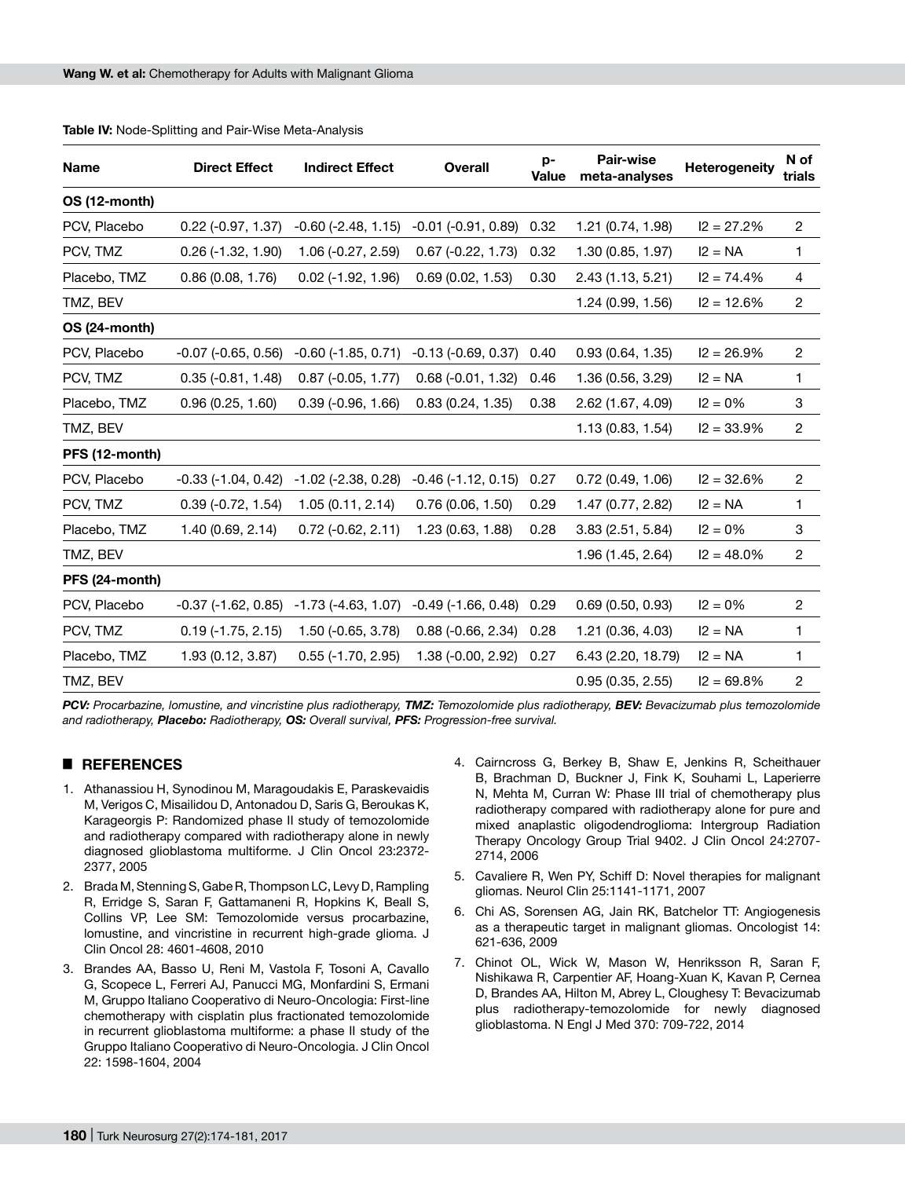| Name           | <b>Direct Effect</b>    | <b>Indirect Effect</b>      | <b>Overall</b>            | p-<br><b>Value</b> | <b>Pair-wise</b><br>meta-analyses | Heterogeneity | N of<br>trials |
|----------------|-------------------------|-----------------------------|---------------------------|--------------------|-----------------------------------|---------------|----------------|
| OS (12-month)  |                         |                             |                           |                    |                                   |               |                |
| PCV, Placebo   | $0.22$ (-0.97, 1.37)    | $-0.60$ $(-2.48, 1.15)$     | $-0.01$ $(-0.91, 0.89)$   | 0.32               | 1.21 (0.74, 1.98)                 | $I2 = 27.2%$  | $\overline{2}$ |
| PCV, TMZ       | $0.26$ (-1.32, 1.90)    | $1.06(-0.27, 2.59)$         | $0.67$ (-0.22, 1.73)      | 0.32               | 1.30 (0.85, 1.97)                 | $I2 = NA$     | 1              |
| Placebo, TMZ   | 0.86(0.08, 1.76)        | $0.02$ (-1.92, 1.96)        | 0.69(0.02, 1.53)          | 0.30               | 2.43 (1.13, 5.21)                 | $I2 = 74.4%$  | 4              |
| TMZ, BEV       |                         |                             |                           |                    | 1.24 (0.99, 1.56)                 | $I2 = 12.6%$  | 2              |
| OS (24-month)  |                         |                             |                           |                    |                                   |               |                |
| PCV, Placebo   | $-0.07$ $(-0.65, 0.56)$ | $-0.60$ $(-1.85, 0.71)$     | $-0.13$ $(-0.69, 0.37)$   | 0.40               | 0.93(0.64, 1.35)                  | $I2 = 26.9%$  | $\overline{c}$ |
| PCV, TMZ       | $0.35(-0.81, 1.48)$     | $0.87$ (-0.05, 1.77)        | $0.68(-0.01, 1.32)$       | 0.46               | 1.36 (0.56, 3.29)                 | $I2 = NA$     | 1              |
| Placebo, TMZ   | 0.96(0.25, 1.60)        | $0.39$ (-0.96, 1.66)        | 0.83(0.24, 1.35)          | 0.38               | 2.62 (1.67, 4.09)                 | $12 = 0%$     | 3              |
| TMZ, BEV       |                         |                             |                           |                    | 1.13(0.83, 1.54)                  | $12 = 33.9%$  | $\sqrt{2}$     |
| PFS (12-month) |                         |                             |                           |                    |                                   |               |                |
| PCV, Placebo   | $-0.33$ $(-1.04, 0.42)$ | $-1.02$ ( $-2.38$ , 0.28)   | $-0.46$ $(-1.12, 0.15)$   | 0.27               | 0.72(0.49, 1.06)                  | $12 = 32.6%$  | $\overline{c}$ |
| PCV, TMZ       | $0.39(-0.72, 1.54)$     | 1.05(0.11, 2.14)            | 0.76(0.06, 1.50)          | 0.29               | 1.47 (0.77, 2.82)                 | $I2 = NA$     | 1              |
| Placebo, TMZ   | 1.40 (0.69, 2.14)       | $0.72$ (-0.62, 2.11)        | 1.23 (0.63, 1.88)         | 0.28               | 3.83 (2.51, 5.84)                 | $12 = 0%$     | 3              |
| TMZ, BEV       |                         |                             |                           |                    | 1.96 (1.45, 2.64)                 | $I2 = 48.0\%$ | $\sqrt{2}$     |
| PFS (24-month) |                         |                             |                           |                    |                                   |               |                |
| PCV, Placebo   | $-0.37$ $(-1.62, 0.85)$ | $-1.73$ $(-4.63, 1.07)$     | $-0.49(-1.66, 0.48)$ 0.29 |                    | 0.69(0.50, 0.93)                  | $12 = 0%$     | 2              |
| PCV, TMZ       | $0.19(-1.75, 2.15)$     | $1.50(-0.65, 3.78)$         | $0.88(-0.66, 2.34)$       | 0.28               | 1.21 (0.36, 4.03)                 | $I2 = NA$     | 1              |
| Placebo, TMZ   | 1.93 (0.12, 3.87)       | $0.55$ ( $-1.70$ , $2.95$ ) | 1.38 (-0.00, 2.92)        | 0.27               | 6.43 (2.20, 18.79)                | $I2 = NA$     | 1              |
| TMZ, BEV       |                         |                             |                           |                    | 0.95(0.35, 2.55)                  | $12 = 69.8%$  | $\overline{c}$ |

**Table IV:** Node-Splitting and Pair-Wise Meta-Analysis

*PCV:* Procarbazine, lomustine, and vincristine plus radiotherapy, **TMZ:** Temozolomide plus radiotherapy, **BEV:** Bevacizumab plus temozolomide *and radiotherapy, Placebo: Radiotherapy, OS: Overall survival, PFS: Progression-free survival.* 

# █ **ReferenceS**

- 1. Athanassiou H, Synodinou M, Maragoudakis E, Paraskevaidis M, Verigos C, Misailidou D, Antonadou D, Saris G, Beroukas K, Karageorgis P: Randomized phase II study of temozolomide and radiotherapy compared with radiotherapy alone in newly diagnosed glioblastoma multiforme. J Clin Oncol 23:2372- 2377, 2005
- 2. Brada M, Stenning S, Gabe R, Thompson LC, Levy D, Rampling R, Erridge S, Saran F, Gattamaneni R, Hopkins K, Beall S, Collins VP, Lee SM: Temozolomide versus procarbazine, lomustine, and vincristine in recurrent high-grade glioma. J Clin Oncol 28: 4601-4608, 2010
- 3. Brandes AA, Basso U, Reni M, Vastola F, Tosoni A, Cavallo G, Scopece L, Ferreri AJ, Panucci MG, Monfardini S, Ermani M, Gruppo Italiano Cooperativo di Neuro-Oncologia: First-line chemotherapy with cisplatin plus fractionated temozolomide in recurrent glioblastoma multiforme: a phase II study of the Gruppo Italiano Cooperativo di Neuro-Oncologia. J Clin Oncol 22: 1598-1604, 2004
- 4. Cairncross G, Berkey B, Shaw E, Jenkins R, Scheithauer B, Brachman D, Buckner J, Fink K, Souhami L, Laperierre N, Mehta M, Curran W: Phase III trial of chemotherapy plus radiotherapy compared with radiotherapy alone for pure and mixed anaplastic oligodendroglioma: Intergroup Radiation Therapy Oncology Group Trial 9402. J Clin Oncol 24:2707- 2714, 2006
- 5. Cavaliere R, Wen PY, Schiff D: Novel therapies for malignant gliomas. Neurol Clin 25:1141-1171, 2007
- 6. Chi AS, Sorensen AG, Jain RK, Batchelor TT: Angiogenesis as a therapeutic target in malignant gliomas. Oncologist 14: 621-636, 2009
- 7. Chinot OL, Wick W, Mason W, Henriksson R, Saran F, Nishikawa R, Carpentier AF, Hoang-Xuan K, Kavan P, Cernea D, Brandes AA, Hilton M, Abrey L, Cloughesy T: Bevacizumab plus radiotherapy-temozolomide for newly diagnosed glioblastoma. N Engl J Med 370: 709-722, 2014